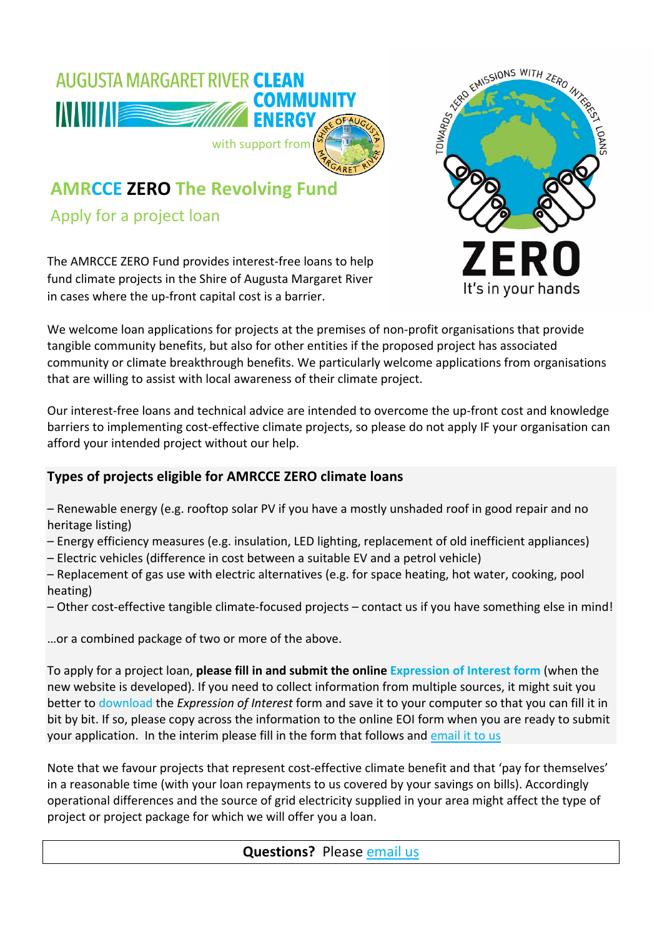

## **AMRCCE ZERO The Revolving Fund**

Apply for a project loan

The AMRCCE ZERO Fund provides interest-free loans to help fund climate projects in the Shire of Augusta Margaret River in cases where the up-front capital cost is a barrier.



We welcome loan applications for projects at the premises of non-profit organisations that provide tangible community benefits, but also for other entities if the proposed project has associated community or climate breakthrough benefits. We particularly welcome applications from organisations that are willing to assist with local awareness of their climate project.

Our interest-free loans and technical advice are intended to overcome the up-front cost and knowledge barriers to implementing cost-effective climate projects, so please do not apply IF your organisation can afford your intended project without our help.

## **Types of projects eligible for AMRCCE ZERO climate loans**

– Renewable energy (e.g. rooftop solar PV if you have a mostly unshaded roof in good repair and no heritage listing)

- Energy efficiency measures (e.g. insulation, LED lighting, replacement of old inefficient appliances)
- Electric vehicles (difference in cost between a suitable EV and a petrol vehicle)
- Replacement of gas use with electric alternatives (e.g. for space heating, hot water, cooking, pool heating)
- Other cost-effective tangible climate-focused projects contact us if you have something else in mind!

…or a combined package of two or more of the above.

To apply for a project loan, **please fill in and submit the online Expression of Interest form** (when the new website is developed). If you need to collect information from multiple sources, it might suit you better to download the *Expression of Interest* form and save it to your computer so that you can fill it in bit by bit. If so, please copy across the information to the online EOI form when you are ready to submit your application. In the interim please fill in the form that follows and email it to us

Note that we favour projects that represent cost-effective climate benefit and that 'pay for themselves' in a reasonable time (with your loan repayments to us covered by your savings on bills). Accordingly operational differences and the source of grid electricity supplied in your area might affect the type of project or project package for which we will offer you a loan.

## **Questions?** Please email us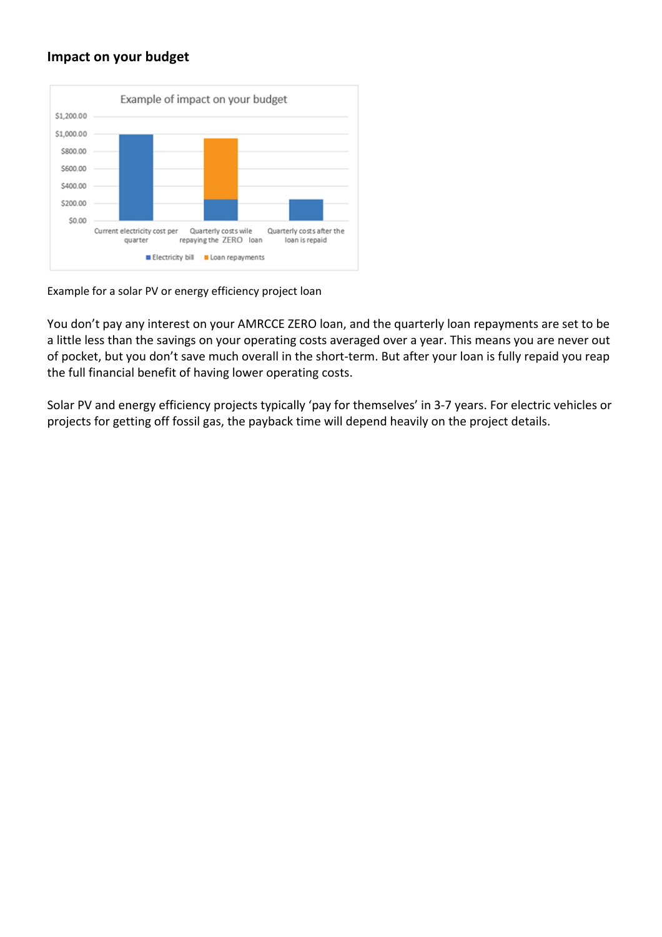### **Impact on your budget**



Example for a solar PV or energy efficiency project loan

You don't pay any interest on your AMRCCE ZERO loan, and the quarterly loan repayments are set to be a little less than the savings on your operating costs averaged over a year. This means you are never out of pocket, but you don't save much overall in the short-term. But after your loan is fully repaid you reap the full financial benefit of having lower operating costs.

Solar PV and energy efficiency projects typically 'pay for themselves' in 3-7 years. For electric vehicles or projects for getting off fossil gas, the payback time will depend heavily on the project details.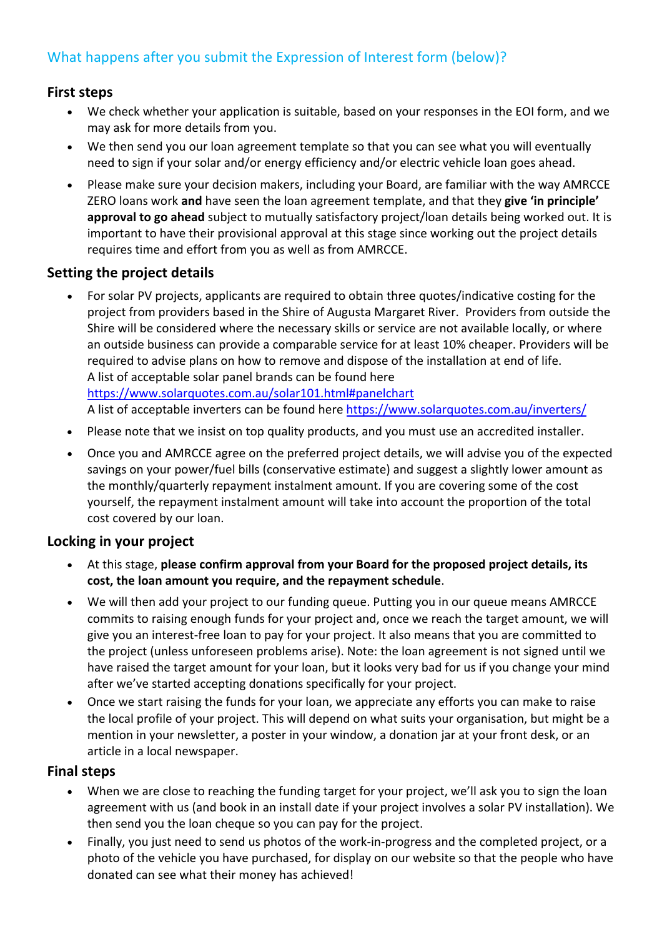## What happens after you submit the Expression of Interest form (below)?

### **First steps**

- We check whether your application is suitable, based on your responses in the EOI form, and we may ask for more details from you.
- We then send you our loan agreement template so that you can see what you will eventually need to sign if your solar and/or energy efficiency and/or electric vehicle loan goes ahead.
- Please make sure your decision makers, including your Board, are familiar with the way AMRCCE ZERO loans work **and** have seen the loan agreement template, and that they **give 'in principle' approval to go ahead** subject to mutually satisfactory project/loan details being worked out. It is important to have their provisional approval at this stage since working out the project details requires time and effort from you as well as from AMRCCE.

### **Setting the project details**

- For solar PV projects, applicants are required to obtain three quotes/indicative costing for the project from providers based in the Shire of Augusta Margaret River. Providers from outside the Shire will be considered where the necessary skills or service are not available locally, or where an outside business can provide a comparable service for at least 10% cheaper. Providers will be required to advise plans on how to remove and dispose of the installation at end of life. A list of acceptable solar panel brands can be found here https://www.solarquotes.com.au/solar101.html#panelchart A list of acceptable inverters can be found here https://www.solarquotes.com.au/inverters/
- Please note that we insist on top quality products, and you must use an accredited installer.
- Once you and AMRCCE agree on the preferred project details, we will advise you of the expected savings on your power/fuel bills (conservative estimate) and suggest a slightly lower amount as the monthly/quarterly repayment instalment amount. If you are covering some of the cost yourself, the repayment instalment amount will take into account the proportion of the total cost covered by our loan.

### **Locking in your project**

- At this stage, **please confirm approval from your Board for the proposed project details, its cost, the loan amount you require, and the repayment schedule**.
- We will then add your project to our funding queue. Putting you in our queue means AMRCCE commits to raising enough funds for your project and, once we reach the target amount, we will give you an interest-free loan to pay for your project. It also means that you are committed to the project (unless unforeseen problems arise). Note: the loan agreement is not signed until we have raised the target amount for your loan, but it looks very bad for us if you change your mind after we've started accepting donations specifically for your project.
- Once we start raising the funds for your loan, we appreciate any efforts you can make to raise the local profile of your project. This will depend on what suits your organisation, but might be a mention in your newsletter, a poster in your window, a donation jar at your front desk, or an article in a local newspaper.

### **Final steps**

- When we are close to reaching the funding target for your project, we'll ask you to sign the loan agreement with us (and book in an install date if your project involves a solar PV installation). We then send you the loan cheque so you can pay for the project.
- Finally, you just need to send us photos of the work-in-progress and the completed project, or a photo of the vehicle you have purchased, for display on our website so that the people who have donated can see what their money has achieved!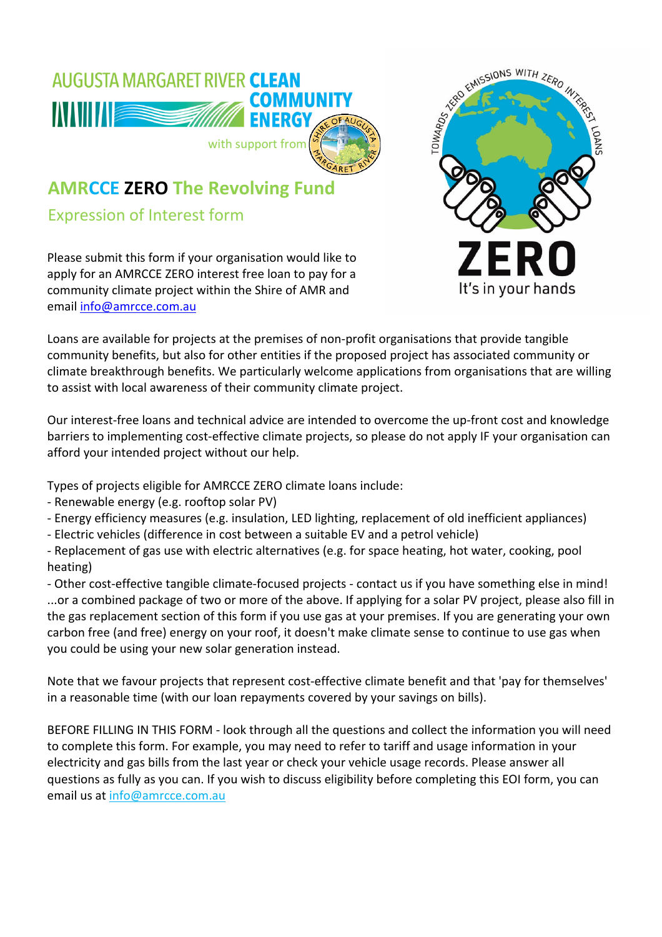

## **AMRCCE ZERO The Revolving Fund**

Expression of Interest form

Please submit this form if your organisation would like to apply for an AMRCCE ZERO interest free loan to pay for a community climate project within the Shire of AMR and email info@amrcce.com.au



Loans are available for projects at the premises of non-profit organisations that provide tangible community benefits, but also for other entities if the proposed project has associated community or climate breakthrough benefits. We particularly welcome applications from organisations that are willing to assist with local awareness of their community climate project.

Our interest-free loans and technical advice are intended to overcome the up-front cost and knowledge barriers to implementing cost-effective climate projects, so please do not apply IF your organisation can afford your intended project without our help.

Types of projects eligible for AMRCCE ZERO climate loans include:

- Renewable energy (e.g. rooftop solar PV)
- Energy efficiency measures (e.g. insulation, LED lighting, replacement of old inefficient appliances)
- Electric vehicles (difference in cost between a suitable EV and a petrol vehicle)

- Replacement of gas use with electric alternatives (e.g. for space heating, hot water, cooking, pool heating)

- Other cost-effective tangible climate-focused projects - contact us if you have something else in mind! ...or a combined package of two or more of the above. If applying for a solar PV project, please also fill in the gas replacement section of this form if you use gas at your premises. If you are generating your own carbon free (and free) energy on your roof, it doesn't make climate sense to continue to use gas when you could be using your new solar generation instead.

Note that we favour projects that represent cost-effective climate benefit and that 'pay for themselves' in a reasonable time (with our loan repayments covered by your savings on bills).

BEFORE FILLING IN THIS FORM - look through all the questions and collect the information you will need to complete this form. For example, you may need to refer to tariff and usage information in your electricity and gas bills from the last year or check your vehicle usage records. Please answer all questions as fully as you can. If you wish to discuss eligibility before completing this EOI form, you can email us at info@amrcce.com.au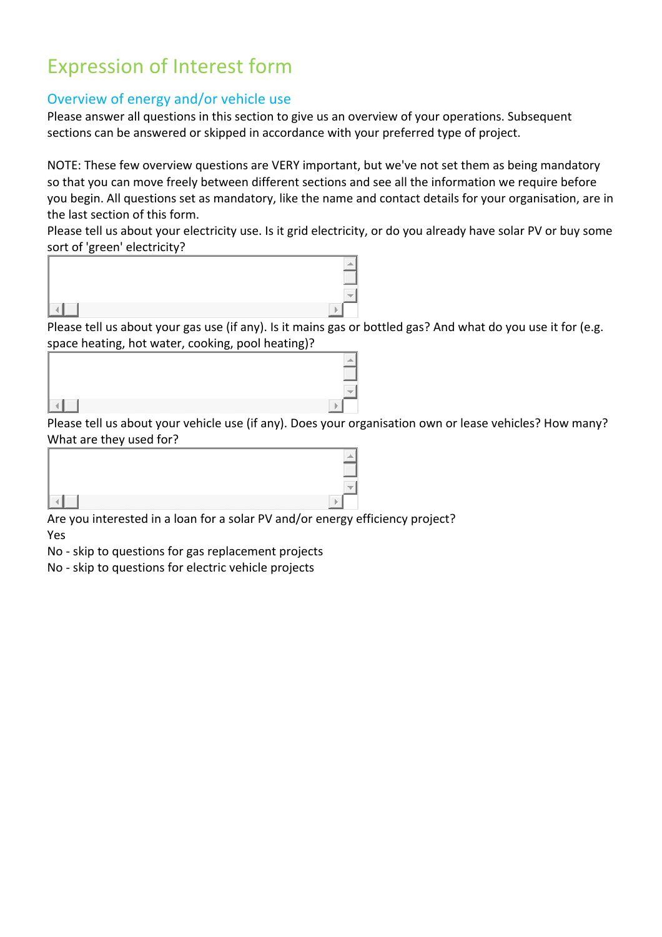# Expression of Interest form

## Overview of energy and/or vehicle use

Please answer all questions in this section to give us an overview of your operations. Subsequent sections can be answered or skipped in accordance with your preferred type of project.

NOTE: These few overview questions are VERY important, but we've not set them as being mandatory so that you can move freely between different sections and see all the information we require before you begin. All questions set as mandatory, like the name and contact details for your organisation, are in the last section of this form.

Please tell us about your electricity use. Is it grid electricity, or do you already have solar PV or buy some sort of 'green' electricity?



Please tell us about your gas use (if any). Is it mains gas or bottled gas? And what do you use it for (e.g. space heating, hot water, cooking, pool heating)?

|               | ,,,,,,,                                                         |
|---------------|-----------------------------------------------------------------|
| $\sim$ $\sim$ | $\mathbf{r}$ and $\mathbf{r}$ and $\mathbf{r}$ and $\mathbf{r}$ |

Please tell us about your vehicle use (if any). Does your organisation own or lease vehicles? How many? What are they used for?

Are you interested in a loan for a solar PV and/or energy efficiency project?

Yes

No - skip to questions for gas replacement projects

No - skip to questions for electric vehicle projects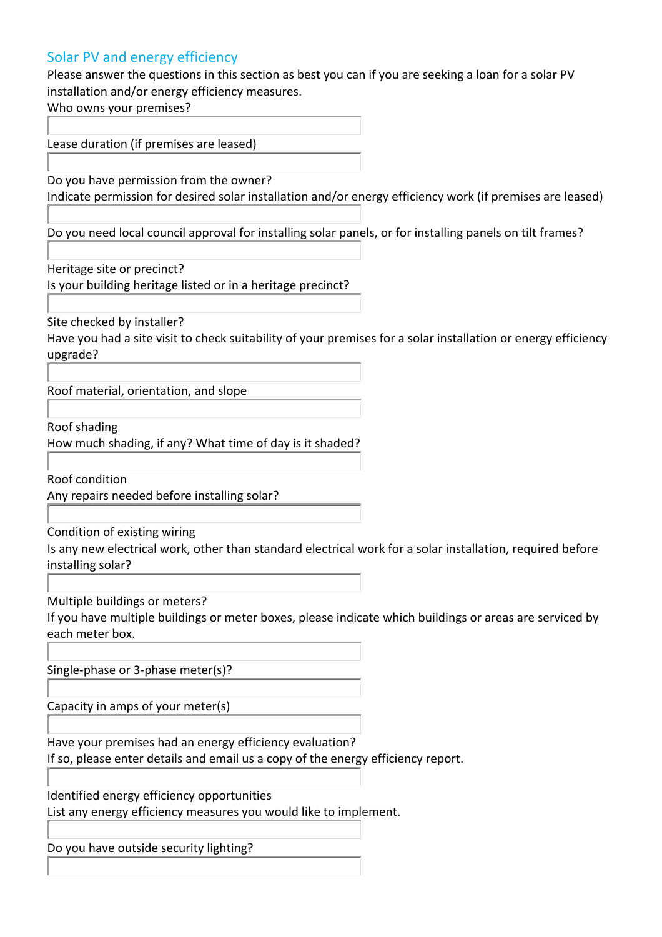## Solar PV and energy efficiency

Please answer the questions in this section as best you can if you are seeking a loan for a solar PV installation and/or energy efficiency measures.

Who owns your premises?

Lease duration (if premises are leased)

Do you have permission from the owner?

Indicate permission for desired solar installation and/or energy efficiency work (if premises are leased)

Do you need local council approval for installing solar panels, or for installing panels on tilt frames?

Heritage site or precinct?

Is your building heritage listed or in a heritage precinct?

Site checked by installer?

Have you had a site visit to check suitability of your premises for a solar installation or energy efficiency upgrade?

Roof material, orientation, and slope

Roof shading

How much shading, if any? What time of day is it shaded?

Roof condition

Any repairs needed before installing solar?

Condition of existing wiring

Is any new electrical work, other than standard electrical work for a solar installation, required before installing solar?

Multiple buildings or meters?

If you have multiple buildings or meter boxes, please indicate which buildings or areas are serviced by each meter box.

Single-phase or 3-phase meter(s)?

Capacity in amps of your meter(s)

Have your premises had an energy efficiency evaluation?

If so, please enter details and email us a copy of the energy efficiency report.

Identified energy efficiency opportunities

List any energy efficiency measures you would like to implement.

Do you have outside security lighting?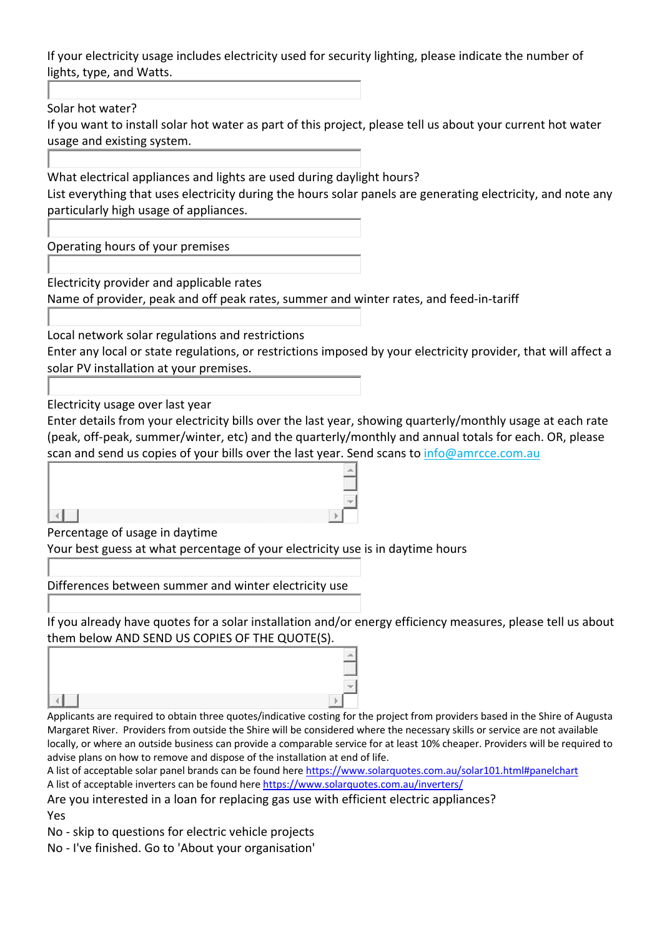If your electricity usage includes electricity used for security lighting, please indicate the number of lights, type, and Watts.

Solar hot water?

If you want to install solar hot water as part of this project, please tell us about your current hot water usage and existing system.

What electrical appliances and lights are used during daylight hours? List everything that uses electricity during the hours solar panels are generating electricity, and note any particularly high usage of appliances.

Operating hours of your premises

Electricity provider and applicable rates

Name of provider, peak and off peak rates, summer and winter rates, and feed-in-tariff

Local network solar regulations and restrictions

Enter any local or state regulations, or restrictions imposed by your electricity provider, that will affect a solar PV installation at your premises.

Electricity usage over last year

Enter details from your electricity bills over the last year, showing quarterly/monthly usage at each rate (peak, off-peak, summer/winter, etc) and the quarterly/monthly and annual totals for each. OR, please scan and send us copies of your bills over the last year. Send scans to info@amrcce.com.au

ыl

Percentage of usage in daytime

Your best guess at what percentage of your electricity use is in daytime hours

Differences between summer and winter electricity use

If you already have quotes for a solar installation and/or energy efficiency measures, please tell us about them below AND SEND US COPIES OF THE QUOTE(S).

#### $\triangleleft$

Applicants are required to obtain three quotes/indicative costing for the project from providers based in the Shire of Augusta Margaret River. Providers from outside the Shire will be considered where the necessary skills or service are not available locally, or where an outside business can provide a comparable service for at least 10% cheaper. Providers will be required to advise plans on how to remove and dispose of the installation at end of life.

A list of acceptable solar panel brands can be found here https://www.solarquotes.com.au/solar101.html#panelchart A list of acceptable inverters can be found here https://www.solarquotes.com.au/inverters/

Are you interested in a loan for replacing gas use with efficient electric appliances? Yes

No - skip to questions for electric vehicle projects

No - I've finished. Go to 'About your organisation'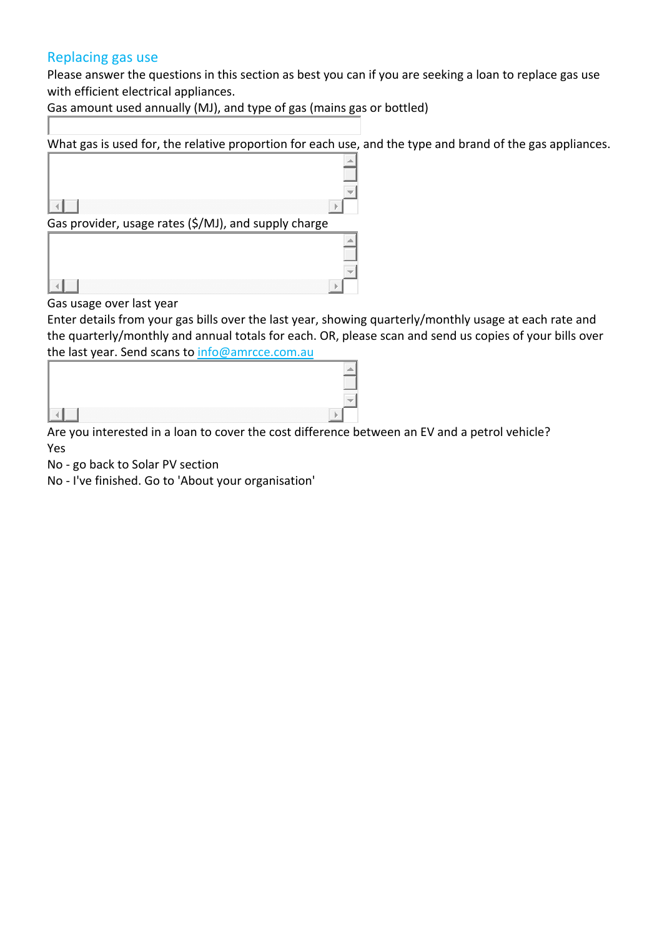### Replacing gas use

Please answer the questions in this section as best you can if you are seeking a loan to replace gas use with efficient electrical appliances.

Gas amount used annually (MJ), and type of gas (mains gas or bottled)

What gas is used for, the relative proportion for each use, and the type and brand of the gas appliances.



Gas usage over last year

Enter details from your gas bills over the last year, showing quarterly/monthly usage at each rate and the quarterly/monthly and annual totals for each. OR, please scan and send us copies of your bills over the last year. Send scans to info@amrcce.com.au

| <br>,,,,,,,<br>___ |
|--------------------|

Are you interested in a loan to cover the cost difference between an EV and a petrol vehicle? Yes

No - go back to Solar PV section

No - I've finished. Go to 'About your organisation'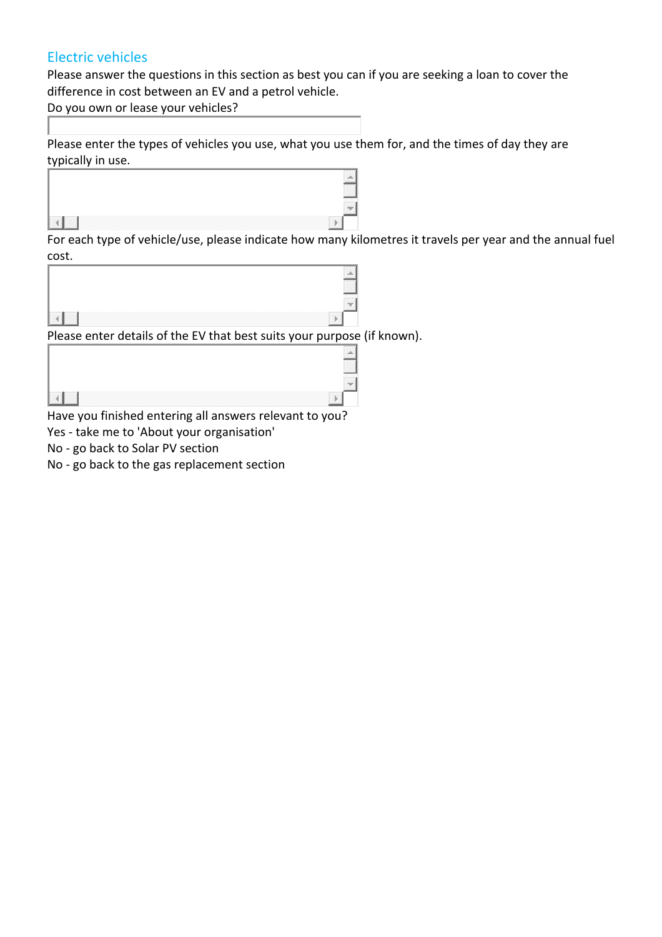## Electric vehicles

Please answer the questions in this section as best you can if you are seeking a loan to cover the difference in cost between an EV and a petrol vehicle.

Do you own or lease your vehicles?

Please enter the types of vehicles you use, what you use them for, and the times of day they are typically in use.



For each type of vehicle/use, please indicate how many kilometres it travels per year and the annual fuel cost.

| Please enter details of the EV that best suits your purpose (if known). |  |
|-------------------------------------------------------------------------|--|
|                                                                         |  |
|                                                                         |  |
|                                                                         |  |
| Have you finished entering all answers relevant to you?                 |  |

Yes - take me to 'About your organisation'

No - go back to Solar PV section

No - go back to the gas replacement section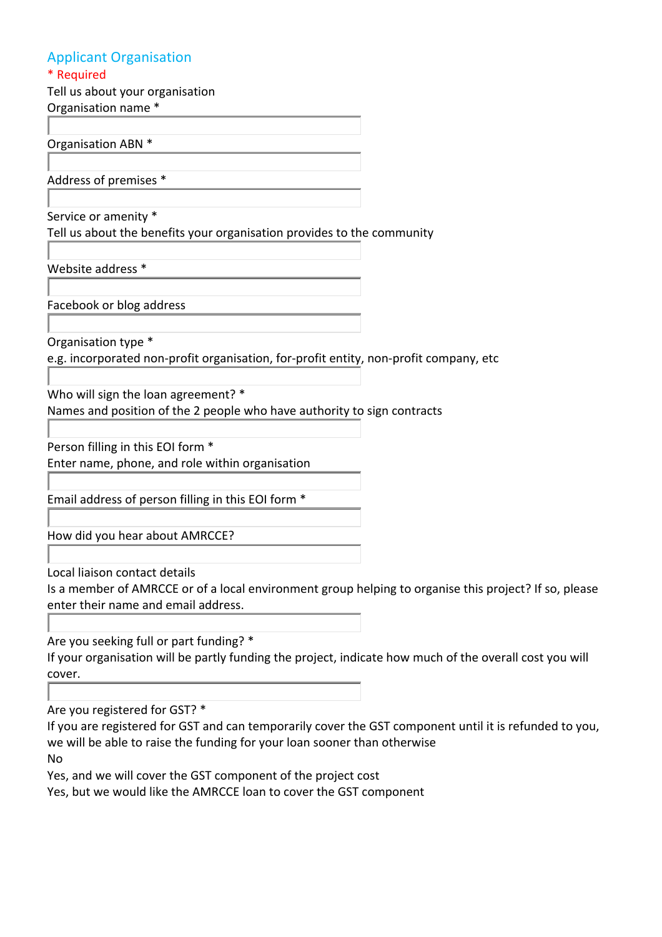## Applicant Organisation

\* Required

Tell us about your organisation Organisation name \*

Organisation ABN \*

Address of premises \*

Service or amenity \*

Tell us about the benefits your organisation provides to the community

Website address \*

Facebook or blog address

Organisation type \*

e.g. incorporated non-profit organisation, for-profit entity, non-profit company, etc

Who will sign the loan agreement? \*

Names and position of the 2 people who have authority to sign contracts

Person filling in this EOI form \*

Enter name, phone, and role within organisation

Email address of person filling in this EOI form \*

How did you hear about AMRCCE?

Local liaison contact details

Is a member of AMRCCE or of a local environment group helping to organise this project? If so, please enter their name and email address.

Are you seeking full or part funding? \*

If your organisation will be partly funding the project, indicate how much of the overall cost you will cover.

Are you registered for GST? \*

If you are registered for GST and can temporarily cover the GST component until it is refunded to you, we will be able to raise the funding for your loan sooner than otherwise

No

Yes, and we will cover the GST component of the project cost

Yes, but we would like the AMRCCE loan to cover the GST component